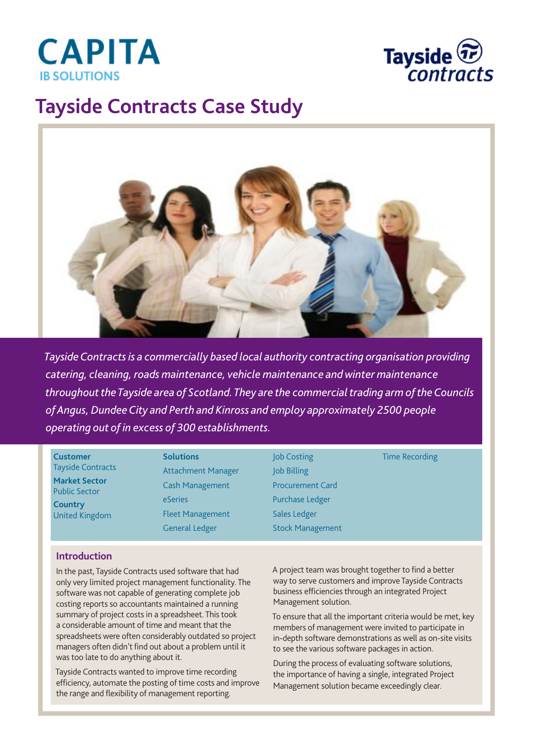



## **Tayside Contracts Case Study**



*Tayside Contracts is a commercially based local authority contracting organisation providing catering, cleaning, roads maintenance, vehicle maintenance and winter maintenance throughout the Tayside area of Scotland. They are the commercial trading arm of the Councils of Angus, Dundee City and Perth and Kinross and employ approximately 2500 people operating out of in excess of 300 establishments.*

**Customer** Tayside Contracts **Market Sector** Public Sector **Country** United Kingdom

**Solutions** Attachment Manager Cash Management eSeries Fleet Management General Ledger

Job Costing Job Billing Procurement Card Purchase Ledger Sales Ledger Stock Management Time Recording

## **Introduction**

In the past, Tayside Contracts used software that had only very limited project management functionality. The software was not capable of generating complete job costing reports so accountants maintained a running summary of project costs in a spreadsheet. This took a considerable amount of time and meant that the spreadsheets were often considerably outdated so project managers often didn't find out about a problem until it was too late to do anything about it.

Tayside Contracts wanted to improve time recording efficiency, automate the posting of time costs and improve the range and flexibility of management reporting.

A project team was brought together to find a better way to serve customers and improve Tayside Contracts business efficiencies through an integrated Project Management solution.

To ensure that all the important criteria would be met, key members of management were invited to participate in in-depth software demonstrations as well as on-site visits to see the various software packages in action.

During the process of evaluating software solutions, the importance of having a single, integrated Project Management solution became exceedingly clear.